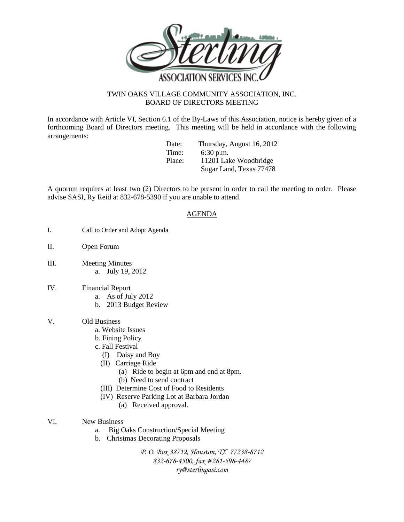

## TWIN OAKS VILLAGE COMMUNITY ASSOCIATION, INC. BOARD OF DIRECTORS MEETING

In accordance with Article VI, Section 6.1 of the By-Laws of this Association, notice is hereby given of a forthcoming Board of Directors meeting. This meeting will be held in accordance with the following arrangements:

Date: Thursday, August 16, 2012 Time: 6:30 p.m. Place: 11201 Lake Woodbridge Sugar Land, Texas 77478

A quorum requires at least two (2) Directors to be present in order to call the meeting to order. Please advise SASI, Ry Reid at 832-678-5390 if you are unable to attend.

## AGENDA

- I. Call to Order and Adopt Agenda
- II. Open Forum
- III. Meeting Minutes a. July 19, 2012
- IV. Financial Report
	- a. As of July 2012
	- b. 2013 Budget Review

## V. Old Business

- a. Website Issues
- b. Fining Policy
- c. Fall Festival
	- (I) Daisy and Boy
	- (II) Carriage Ride
		- (a) Ride to begin at 6pm and end at 8pm.
		- (b) Need to send contract
	- (III) Determine Cost of Food to Residents
	- (IV) Reserve Parking Lot at Barbara Jordan
		- (a) Received approval.
- VI. New Business
	- a. Big Oaks Construction/Special Meeting
	- b. Christmas Decorating Proposals

*P. O. Box 38712, Houston, TX 77238-8712 832-678-4500, fax #281-598-4487 ry@sterlingasi.com*